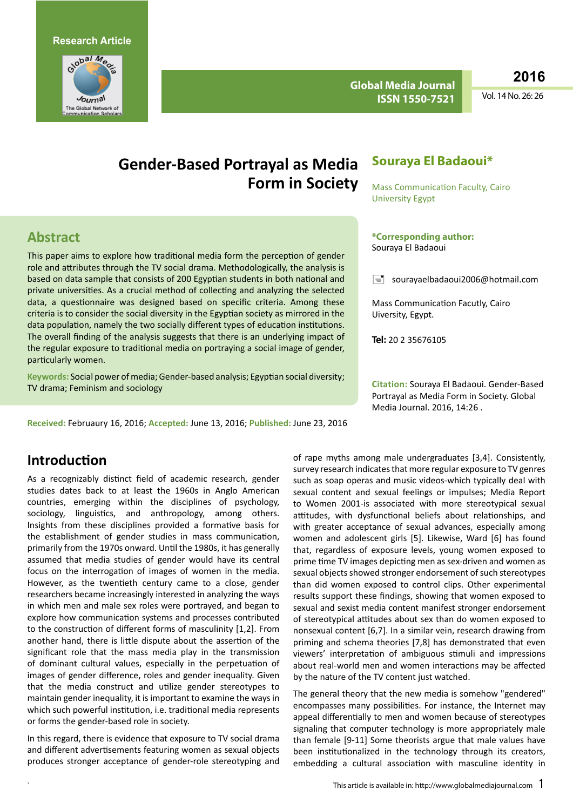

**Global Media Journal ISSN 1550-7521**

**2016**

Vol. 14 No. 26: 26

# **Gender-Based Portrayal as Media Form in Society**

### **Souraya El Badaoui\***

Mass Communication Faculty, Cairo University Egypt

#### **\*Corresponding author:**  Souraya El Badaoui

 $\equiv$  sourayaelbadaoui2006@hotmail.com

Mass Communication Facutly, Cairo Uiversity, Egypt.

**Tel:** 20 2 35676105

**Citation:** Souraya El Badaoui. Gender-Based Portrayal as Media Form in Society. Global Media Journal. 2016, 14:26 .

# **Abstract**

This paper aims to explore how traditional media form the perception of gender role and attributes through the TV social drama. Methodologically, the analysis is based on data sample that consists of 200 Egyptian students in both national and private universities. As a crucial method of collecting and analyzing the selected data, a questionnaire was designed based on specific criteria. Among these criteria is to consider the social diversity in the Egyptian society as mirrored in the data population, namely the two socially different types of education institutions. The overall finding of the analysis suggests that there is an underlying impact of the regular exposure to traditional media on portraying a social image of gender, particularly women.

**Keywords:** Social power of media; Gender-based analysis; Egyptian social diversity; TV drama; Feminism and sociology

**Received:** Februaury 16, 2016; **Accepted:** June 13, 2016; **Published:** June 23, 2016

### **Introduction**

As a recognizably distinct field of academic research, gender studies dates back to at least the 1960s in Anglo American countries, emerging within the disciplines of psychology, sociology, linguistics, and anthropology, among others. Insights from these disciplines provided a formative basis for the establishment of gender studies in mass communication, primarily from the 1970s onward. Until the 1980s, it has generally assumed that media studies of gender would have its central focus on the interrogation of images of women in the media. However, as the twentieth century came to a close, gender researchers became increasingly interested in analyzing the ways in which men and male sex roles were portrayed, and began to explore how communication systems and processes contributed to the construction of different forms of masculinity [1,2]. From another hand, there is little dispute about the assertion of the significant role that the mass media play in the transmission of dominant cultural values, especially in the perpetuation of images of gender difference, roles and gender inequality. Given that the media construct and utilize gender stereotypes to maintain gender inequality, it is important to examine the ways in which such powerful institution, i.e. traditional media represents or forms the gender-based role in society.

In this regard, there is evidence that exposure to TV social drama and different advertisements featuring women as sexual objects produces stronger acceptance of gender-role stereotyping and of rape myths among male undergraduates [3,4]. Consistently, survey research indicates that more regular exposure to TV genres such as soap operas and music videos-which typically deal with sexual content and sexual feelings or impulses; Media Report to Women 2001-is associated with more stereotypical sexual attitudes, with dysfunctional beliefs about relationships, and with greater acceptance of sexual advances, especially among women and adolescent girls [5]. Likewise, Ward [6] has found that, regardless of exposure levels, young women exposed to prime time TV images depicting men as sex-driven and women as sexual objects showed stronger endorsement of such stereotypes than did women exposed to control clips. Other experimental results support these findings, showing that women exposed to sexual and sexist media content manifest stronger endorsement of stereotypical attitudes about sex than do women exposed to nonsexual content [6,7]. In a similar vein, research drawing from priming and schema theories [7,8] has demonstrated that even viewers' interpretation of ambiguous stimuli and impressions about real-world men and women interactions may be affected by the nature of the TV content just watched.

The general theory that the new media is somehow "gendered" encompasses many possibilities. For instance, the Internet may appeal differentially to men and women because of stereotypes signaling that computer technology is more appropriately male than female [9-11] Some theorists argue that male values have been institutionalized in the technology through its creators, embedding a cultural association with masculine identity in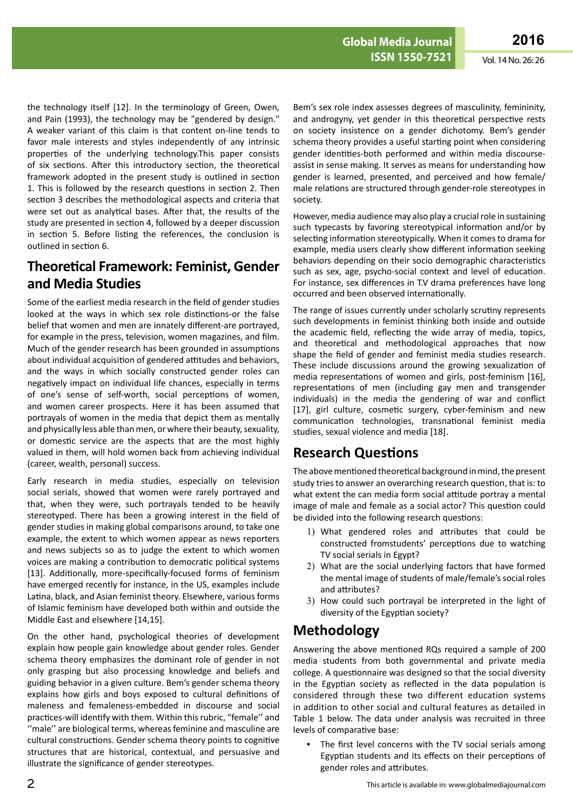the technology itself [12]. In the terminology of Green, Owen, and Pain (1993), the technology may be "gendered by design." A weaker variant of this claim is that content on-line tends to favor male interests and styles independently of any intrinsic properties of the underlying technology.This paper consists of six sections. After this introductory section, the theoretical framework adopted in the present study is outlined in section 1. This is followed by the research questions in section 2. Then section 3 describes the methodological aspects and criteria that were set out as analytical bases. After that, the results of the study are presented in section 4, followed by a deeper discussion in section 5. Before listing the references, the conclusion is outlined in section 6.

# **Theoretical Framework: Feminist, Gender and Media Studies**

Some of the earliest media research in the field of gender studies looked at the ways in which sex role distinctions-or the false belief that women and men are innately different-are portrayed, for example in the press, television, women magazines, and film. Much of the gender research has been grounded in assumptions about individual acquisition of gendered attitudes and behaviors, and the ways in which socially constructed gender roles can negatively impact on individual life chances, especially in terms of one's sense of self-worth, social perceptions of women, and women career prospects. Here it has been assumed that portrayals of women in the media that depict them as mentally and physically less able than men, or where their beauty, sexuality, or domestic service are the aspects that are the most highly valued in them, will hold women back from achieving individual (career, wealth, personal) success.

Early research in media studies, especially on television social serials, showed that women were rarely portrayed and that, when they were, such portrayals tended to be heavily stereotyped. There has been a growing interest in the field of gender studies in making global comparisons around, to take one example, the extent to which women appear as news reporters and news subjects so as to judge the extent to which women voices are making a contribution to democratic political systems [13]. Additionally, more-specifically-focused forms of feminism have emerged recently for instance, in the US, examples include Latina, black, and Asian feminist theory. Elsewhere, various forms of Islamic feminism have developed both within and outside the Middle East and elsewhere [14,15].

On the other hand, psychological theories of development explain how people gain knowledge about gender roles. Gender schema theory emphasizes the dominant role of gender in not only grasping but also processing knowledge and beliefs and guiding behavior in a given culture. Bem's gender schema theory explains how girls and boys exposed to cultural definitions of maleness and femaleness-embedded in discourse and social practices-will identify with them. Within this rubric, "female'' and ''male'' are biological terms, whereas feminine and masculine are cultural constructions. Gender schema theory points to cognitive structures that are historical, contextual, and persuasive and illustrate the significance of gender stereotypes.

Bem's sex role index assesses degrees of masculinity, femininity, and androgyny, yet gender in this theoretical perspective rests on society insistence on a gender dichotomy. Bem's gender schema theory provides a useful starting point when considering gender identities-both performed and within media discourseassist in sense making. It serves as means for understanding how gender is learned, presented, and perceived and how female/ male relations are structured through gender-role stereotypes in society.

However, media audience may also play a crucial role in sustaining such typecasts by favoring stereotypical information and/or by selecting information stereotypically. When it comes to drama for example, media users clearly show different information seeking behaviors depending on their socio demographic characteristics such as sex, age, psycho-social context and level of education. For instance, sex differences in T.V drama preferences have long occurred and been observed internationally.

The range of issues currently under scholarly scrutiny represents such developments in feminist thinking both inside and outside the academic field, reflecting the wide array of media, topics, and theoretical and methodological approaches that now shape the field of gender and feminist media studies research. These include discussions around the growing sexualization of media representations of women and girls, post-feminism [16], representations of men (including gay men and transgender individuals) in the media the gendering of war and conflict [17], girl culture, cosmetic surgery, cyber-feminism and new communication technologies, transnational feminist media studies, sexual violence and media [18].

# **Research Questions**

The above mentioned theoretical background in mind, the present study tries to answer an overarching research question, that is: to what extent the can media form social attitude portray a mental image of male and female as a social actor? This question could be divided into the following research questions:

- 1) What gendered roles and attributes that could be constructed fromstudents' perceptions due to watching TV social serials in Egypt?
- 2) What are the social underlying factors that have formed the mental image of students of male/female's social roles and attributes?
- 3) How could such portrayal be interpreted in the light of diversity of the Egyptian society?

# **Methodology**

Answering the above mentioned RQs required a sample of 200 media students from both governmental and private media college. A questionnaire was designed so that the social diversity in the Egyptian society as reflected in the data population is considered through these two different education systems in addition to other social and cultural features as detailed in Table 1 below. The data under analysis was recruited in three levels of comparative base:

The first level concerns with the TV social serials among Egyptian students and its effects on their perceptions of gender roles and attributes.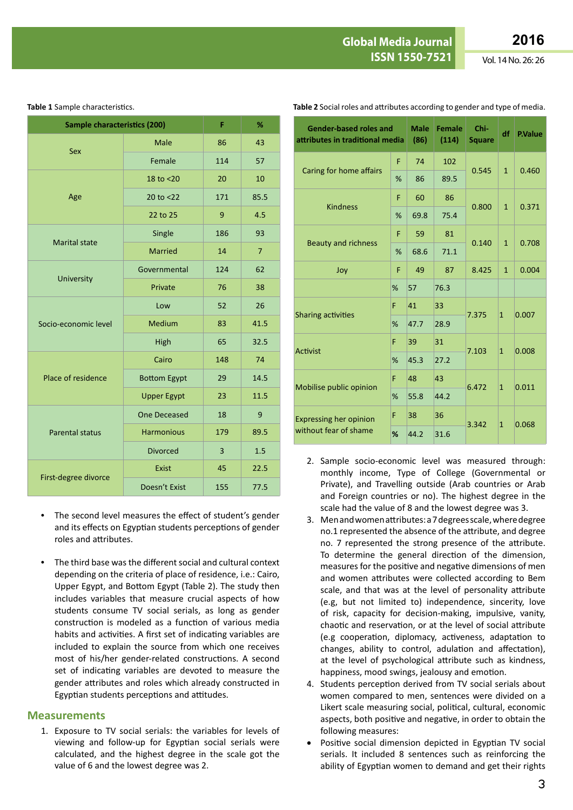**df P.Value**

 $0.545$  1 0.460

 $0.800$  1 0.371

 $0.140$  1 0.708

**Gender-based roles and attributes in traditional media**

Caring for home affairs

Kindness

Beauty and richness

**Chi-Square**

| <b>Sample characteristics (200)</b> |                     | F   | %              |
|-------------------------------------|---------------------|-----|----------------|
| Sex                                 | <b>Male</b>         | 86  | 43             |
|                                     | Female              | 114 | 57             |
| Age                                 | 18 to <20           | 20  | 10             |
|                                     | 20 to $<$ 22        | 171 | 85.5           |
|                                     | 22 to 25            | 9   | 4.5            |
| <b>Marital state</b>                | Single              | 186 | 93             |
|                                     | <b>Married</b>      | 14  | $\overline{7}$ |
| University                          | Governmental        | 124 | 62             |
|                                     | Private             | 76  | 38             |
| Socio-economic level                | Low                 | 52  | 26             |
|                                     | Medium              | 83  | 41.5           |
|                                     | <b>High</b>         | 65  | 32.5           |
| Place of residence                  | Cairo               | 148 | 74             |
|                                     | <b>Bottom Egypt</b> | 29  | 14.5           |
|                                     | <b>Upper Egypt</b>  | 23  | 11.5           |
| <b>Parental status</b>              | <b>One Deceased</b> | 18  | 9              |
|                                     | <b>Harmonious</b>   | 179 | 89.5           |
|                                     | <b>Divorced</b>     | 3   | 1.5            |
| First-degree divorce                | Exist               | 45  | 22.5           |
|                                     | Doesn't Exist       | 155 | 77.5           |

**Table 1** Sample characteristics.

**Table 2** Social roles and attributes according to gender and type of media.

**Male Female (86)**

 $F$  74 102

 $% 86$  89.5

 $F | 60 | 86$ 

% 69.8 75.4

 $F$  59 81

 $% 68.6$  71.1

Joy F 49 87 8.425 1 0.004

**(114)**

- 2. Sample socio-economic level was measured through: % 57 76.3 Sharing activities  $F$  41 33 7.375 1 0.007 % 47.7 28.9 Activist  $F$  39 31 7.103 1 0.008  $\frac{8}{45.3}$  27.2 Mobilise public opinion  $F$  48 43 6.472 1 0.011 % 55.8 44.2 Expressing her opinion without fear of shame F 38 36 3.342 1 0.068 **%** 44.2 31.6
	- monthly income, Type of College (Governmental or Private), and Travelling outside (Arab countries or Arab and Foreign countries or no). The highest degree in the scale had the value of 8 and the lowest degree was 3.
	- 3. Men and women attributes: a 7 degrees scale, where degree no.1 represented the absence of the attribute, and degree no. 7 represented the strong presence of the attribute. To determine the general direction of the dimension, measures for the positive and negative dimensions of men and women attributes were collected according to Bem scale, and that was at the level of personality attribute (e.g, but not limited to) independence, sincerity, love of risk, capacity for decision-making, impulsive, vanity, chaotic and reservation, or at the level of social attribute (e.g cooperation, diplomacy, activeness, adaptation to changes, ability to control, adulation and affectation), at the level of psychological attribute such as kindness, happiness, mood swings, jealousy and emotion.
	- 4. Students perception derived from TV social serials about women compared to men, sentences were divided on a Likert scale measuring social, political, cultural, economic aspects, both positive and negative, in order to obtain the following measures:
	- Positive social dimension depicted in Egyptian TV social serials. It included 8 sentences such as reinforcing the ability of Egyptian women to demand and get their rights
- The second level measures the effect of student's gender and its effects on Egyptian students perceptions of gender roles and attributes.
- **•**  The third base was the different social and cultural context depending on the criteria of place of residence, i.e.: Cairo, Upper Egypt, and Bottom Egypt (Table 2). The study then includes variables that measure crucial aspects of how students consume TV social serials, as long as gender construction is modeled as a function of various media habits and activities. A first set of indicating variables are included to explain the source from which one receives most of his/her gender-related constructions. A second set of indicating variables are devoted to measure the gender attributes and roles which already constructed in Egyptian students perceptions and attitudes.

#### **Measurements**

1. Exposure to TV social serials: the variables for levels of viewing and follow-up for Egyptian social serials were calculated, and the highest degree in the scale got the value of 6 and the lowest degree was 2.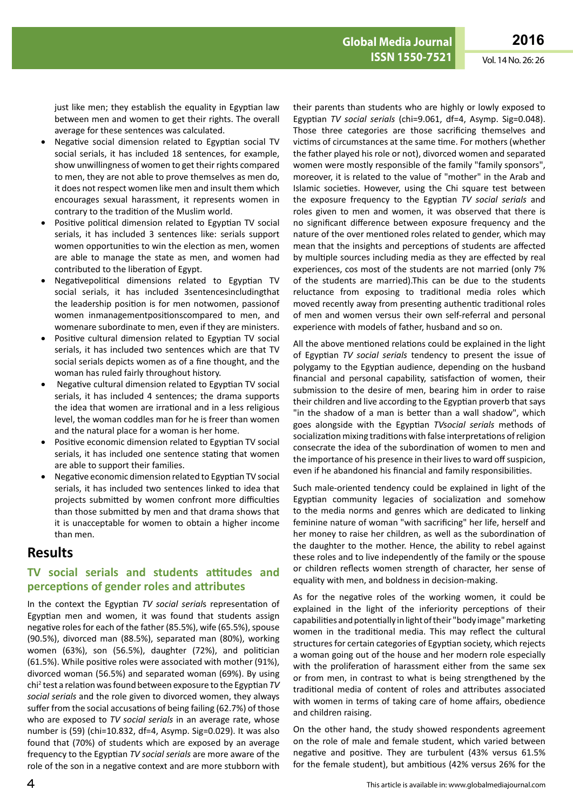**ISSN 1550-7521** Vol. 14 No. 26: 26

just like men; they establish the equality in Egyptian law between men and women to get their rights. The overall average for these sentences was calculated.

- Negative social dimension related to Egyptian social TV social serials, it has included 18 sentences, for example, show unwillingness of women to get their rights compared to men, they are not able to prove themselves as men do, it does not respect women like men and insult them which encourages sexual harassment, it represents women in contrary to the tradition of the Muslim world.
- Positive political dimension related to Egyptian TV social serials, it has included 3 sentences like: serials support women opportunities to win the election as men, women are able to manage the state as men, and women had contributed to the liberation of Egypt.
- Negativepolitical dimensions related to Egyptian TV social serials, it has included 3sentencesincludingthat the leadership position is for men notwomen, passionof women inmanagementpositionscompared to men, and womenare subordinate to men, even if they are ministers.
- Positive cultural dimension related to Egyptian TV social serials, it has included two sentences which are that TV social serials depicts women as of a fine thought, and the woman has ruled fairly throughout history.
- Negative cultural dimension related to Egyptian TV social serials, it has included 4 sentences; the drama supports the idea that women are irrational and in a less religious level, the woman coddles man for he is freer than women and the natural place for a woman is her home.
- Positive economic dimension related to Egyptian TV social serials, it has included one sentence stating that women are able to support their families.
- Negative economic dimension related to Egyptian TV social serials, it has included two sentences linked to idea that projects submitted by women confront more difficulties than those submitted by men and that drama shows that it is unacceptable for women to obtain a higher income than men.

## **Results**

### **TV social serials and students attitudes and perceptions of gender roles and attributes**

In the context the Egyptian *TV social serial*s representation of Egyptian men and women, it was found that students assign negative roles for each of the father (85.5%), wife (65.5%), spouse (90.5%), divorced man (88.5%), separated man (80%), working women (63%), son (56.5%), daughter (72%), and politician (61.5%). While positive roles were associated with mother (91%), divorced woman (56.5%) and separated woman (69%). By using chi2 test a relation was found between exposure to the Egyptian *TV social serials* and the role given to divorced women, they always suffer from the social accusations of being failing (62.7%) of those who are exposed to *TV social serials* in an average rate, whose number is (59) (chi=10.832, df=4, Asymp. Sig=0.029). It was also found that (70%) of students which are exposed by an average frequency to the Egyptian *TV social serials* are more aware of the role of the son in a negative context and are more stubborn with

their parents than students who are highly or lowly exposed to Egyptian *TV social serials* (chi=9.061, df=4, Asymp. Sig=0.048). Those three categories are those sacrificing themselves and victims of circumstances at the same time. For mothers (whether the father played his role or not), divorced women and separated women were mostly responsible of the family "family sponsors", moreover, it is related to the value of "mother" in the Arab and Islamic societies. However, using the Chi square test between the exposure frequency to the Egyptian *TV social serials* and roles given to men and women, it was observed that there is no significant difference between exposure frequency and the nature of the over mentioned roles related to gender, which may mean that the insights and perceptions of students are affected by multiple sources including media as they are effected by real experiences, cos most of the students are not married (only 7% of the students are married).This can be due to the students reluctance from exposing to traditional media roles which moved recently away from presenting authentic traditional roles of men and women versus their own self-referral and personal experience with models of father, husband and so on.

All the above mentioned relations could be explained in the light of Egyptian *TV social serials* tendency to present the issue of polygamy to the Egyptian audience, depending on the husband financial and personal capability, satisfaction of women, their submission to the desire of men, bearing him in order to raise their children and live according to the Egyptian proverb that says "in the shadow of a man is better than a wall shadow", which goes alongside with the Egyptian *TVsocial serials* methods of socialization mixing traditions with false interpretations of religion consecrate the idea of the subordination of women to men and the importance of his presence in their lives to ward off suspicion, even if he abandoned his financial and family responsibilities.

Such male-oriented tendency could be explained in light of the Egyptian community legacies of socialization and somehow to the media norms and genres which are dedicated to linking feminine nature of woman "with sacrificing" her life, herself and her money to raise her children, as well as the subordination of the daughter to the mother. Hence, the ability to rebel against these roles and to live independently of the family or the spouse or children reflects women strength of character, her sense of equality with men, and boldness in decision-making.

As for the negative roles of the working women, it could be explained in the light of the inferiority perceptions of their capabilities and potentially in light of their "body image" marketing women in the traditional media. This may reflect the cultural structures for certain categories of Egyptian society, which rejects a woman going out of the house and her modern role especially with the proliferation of harassment either from the same sex or from men, in contrast to what is being strengthened by the traditional media of content of roles and attributes associated with women in terms of taking care of home affairs, obedience and children raising.

On the other hand, the study showed respondents agreement on the role of male and female student, which varied between negative and positive. They are turbulent (43% versus 61.5% for the female student), but ambitious (42% versus 26% for the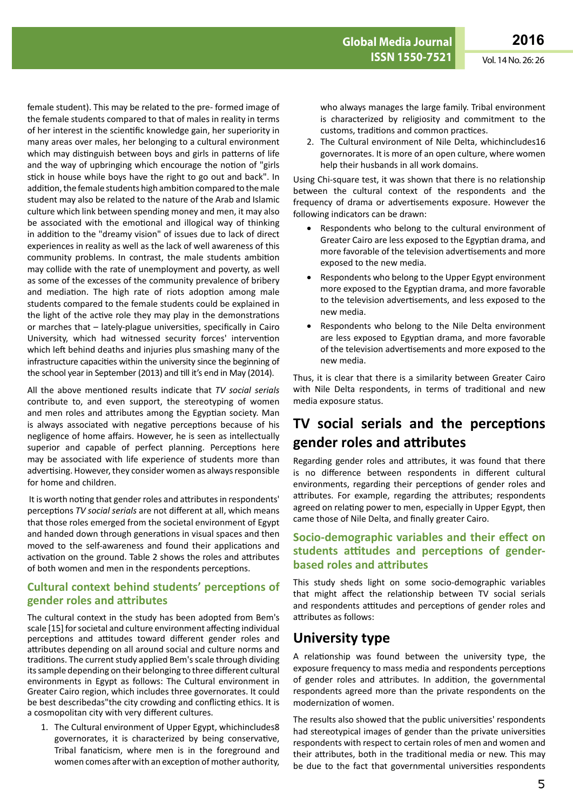female student). This may be related to the pre- formed image of the female students compared to that of males in reality in terms of her interest in the scientific knowledge gain, her superiority in many areas over males, her belonging to a cultural environment which may distinguish between boys and girls in patterns of life and the way of upbringing which encourage the notion of "girls stick in house while boys have the right to go out and back". In addition, the female students high ambition compared to the male student may also be related to the nature of the Arab and Islamic culture which link between spending money and men, it may also be associated with the emotional and illogical way of thinking in addition to the "dreamy vision" of issues due to lack of direct experiences in reality as well as the lack of well awareness of this community problems. In contrast, the male students ambition may collide with the rate of unemployment and poverty, as well as some of the excesses of the community prevalence of bribery and mediation. The high rate of riots adoption among male students compared to the female students could be explained in the light of the active role they may play in the demonstrations or marches that – lately-plague universities, specifically in Cairo University, which had witnessed security forces' intervention which left behind deaths and injuries plus smashing many of the infrastructure capacities within the university since the beginning of the school year in September (2013) and till it's end in May (2014).

All the above mentioned results indicate that *TV social serials*  contribute to, and even support, the stereotyping of women and men roles and attributes among the Egyptian society. Man is always associated with negative perceptions because of his negligence of home affairs. However, he is seen as intellectually superior and capable of perfect planning. Perceptions here may be associated with life experience of students more than advertising. However, they consider women as always responsible for home and children.

 It is worth noting that gender roles and attributes in respondents' perceptions *TV social serials* are not different at all, which means that those roles emerged from the societal environment of Egypt and handed down through generations in visual spaces and then moved to the self-awareness and found their applications and activation on the ground. Table 2 shows the roles and attributes of both women and men in the respondents perceptions.

#### **Cultural context behind students' perceptions of gender roles and attributes**

The cultural context in the study has been adopted from Bem's scale [15] for societal and culture environment affecting individual perceptions and attitudes toward different gender roles and attributes depending on all around social and culture norms and traditions. The current study applied Bem's scale through dividing its sample depending on their belonging to three different cultural environments in Egypt as follows: The Cultural environment in Greater Cairo region, which includes three governorates. It could be best describedas"the city crowding and conflicting ethics. It is a cosmopolitan city with very different cultures.

1. The Cultural environment of Upper Egypt, whichincludes8 governorates, it is characterized by being conservative, Tribal fanaticism, where men is in the foreground and women comes after with an exception of mother authority, who always manages the large family. Tribal environment is characterized by religiosity and commitment to the customs, traditions and common practices.

2. The Cultural environment of Nile Delta, whichincludes16 governorates. It is more of an open culture, where women help their husbands in all work domains.

Using Chi-square test, it was shown that there is no relationship between the cultural context of the respondents and the frequency of drama or advertisements exposure. However the following indicators can be drawn:

- Respondents who belong to the cultural environment of Greater Cairo are less exposed to the Egyptian drama, and more favorable of the television advertisements and more exposed to the new media.
- Respondents who belong to the Upper Egypt environment more exposed to the Egyptian drama, and more favorable to the television advertisements, and less exposed to the new media.
- Respondents who belong to the Nile Delta environment are less exposed to Egyptian drama, and more favorable of the television advertisements and more exposed to the new media.

Thus, it is clear that there is a similarity between Greater Cairo with Nile Delta respondents, in terms of traditional and new media exposure status.

# **TV social serials and the perceptions gender roles and attributes**

Regarding gender roles and attributes, it was found that there is no difference between respondents in different cultural environments, regarding their perceptions of gender roles and attributes. For example, regarding the attributes; respondents agreed on relating power to men, especially in Upper Egypt, then came those of Nile Delta, and finally greater Cairo.

### **Socio-demographic variables and their effect on students attitudes and perceptions of genderbased roles and attributes**

This study sheds light on some socio-demographic variables that might affect the relationship between TV social serials and respondents attitudes and perceptions of gender roles and attributes as follows:

# **University type**

A relationship was found between the university type, the exposure frequency to mass media and respondents perceptions of gender roles and attributes. In addition, the governmental respondents agreed more than the private respondents on the modernization of women.

The results also showed that the public universities' respondents had stereotypical images of gender than the private universities respondents with respect to certain roles of men and women and their attributes, both in the traditional media or new. This may be due to the fact that governmental universities respondents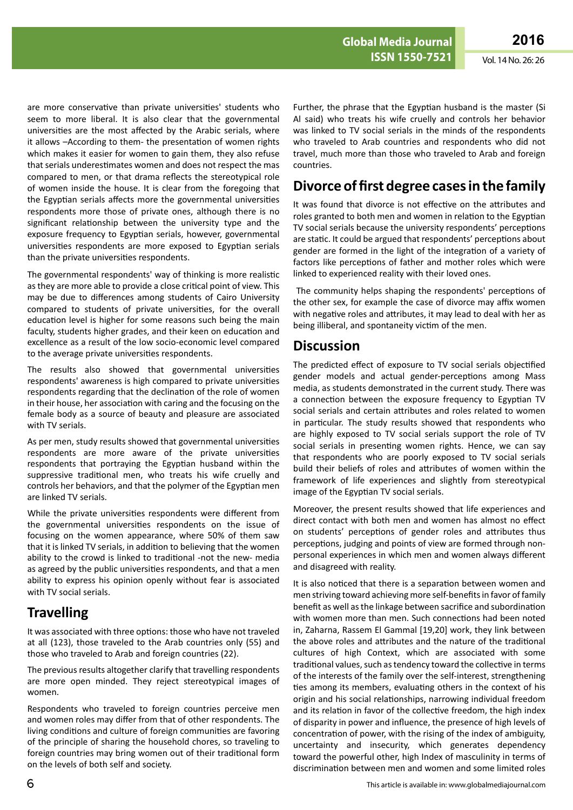are more conservative than private universities' students who seem to more liberal. It is also clear that the governmental universities are the most affected by the Arabic serials, where it allows –According to them- the presentation of women rights which makes it easier for women to gain them, they also refuse that serials underestimates women and does not respect the mas compared to men, or that drama reflects the stereotypical role of women inside the house. It is clear from the foregoing that the Egyptian serials affects more the governmental universities respondents more those of private ones, although there is no significant relationship between the university type and the exposure frequency to Egyptian serials, however, governmental universities respondents are more exposed to Egyptian serials than the private universities respondents.

The governmental respondents' way of thinking is more realistic as they are more able to provide a close critical point of view. This may be due to differences among students of Cairo University compared to students of private universities, for the overall education level is higher for some reasons such being the main faculty, students higher grades, and their keen on education and excellence as a result of the low socio-economic level compared to the average private universities respondents.

The results also showed that governmental universities respondents' awareness is high compared to private universities respondents regarding that the declination of the role of women in their house, her association with caring and the focusing on the female body as a source of beauty and pleasure are associated with TV serials.

As per men, study results showed that governmental universities respondents are more aware of the private universities respondents that portraying the Egyptian husband within the suppressive traditional men, who treats his wife cruelly and controls her behaviors, and that the polymer of the Egyptian men are linked TV serials.

While the private universities respondents were different from the governmental universities respondents on the issue of focusing on the women appearance, where 50% of them saw that it is linked TV serials, in addition to believing that the women ability to the crowd is linked to traditional -not the new- media as agreed by the public universities respondents, and that a men ability to express his opinion openly without fear is associated with TV social serials.

# **Travelling**

It was associated with three options: those who have not traveled at all (123), those traveled to the Arab countries only (55) and those who traveled to Arab and foreign countries (22).

The previous results altogether clarify that travelling respondents are more open minded. They reject stereotypical images of women.

Respondents who traveled to foreign countries perceive men and women roles may differ from that of other respondents. The living conditions and culture of foreign communities are favoring of the principle of sharing the household chores, so traveling to foreign countries may bring women out of their traditional form on the levels of both self and society.

Further, the phrase that the Egyptian husband is the master (Si Al said) who treats his wife cruelly and controls her behavior was linked to TV social serials in the minds of the respondents who traveled to Arab countries and respondents who did not travel, much more than those who traveled to Arab and foreign countries.

# **Divorce of first degree cases in the family**

It was found that divorce is not effective on the attributes and roles granted to both men and women in relation to the Egyptian TV social serials because the university respondents' perceptions are static. It could be argued that respondents' perceptions about gender are formed in the light of the integration of a variety of factors like perceptions of father and mother roles which were linked to experienced reality with their loved ones.

 The community helps shaping the respondents' perceptions of the other sex, for example the case of divorce may affix women with negative roles and attributes, it may lead to deal with her as being illiberal, and spontaneity victim of the men.

### **Discussion**

The predicted effect of exposure to TV social serials objectified gender models and actual gender-perceptions among Mass media, as students demonstrated in the current study. There was a connection between the exposure frequency to Egyptian TV social serials and certain attributes and roles related to women in particular. The study results showed that respondents who are highly exposed to TV social serials support the role of TV social serials in presenting women rights. Hence, we can say that respondents who are poorly exposed to TV social serials build their beliefs of roles and attributes of women within the framework of life experiences and slightly from stereotypical image of the Egyptian TV social serials.

Moreover, the present results showed that life experiences and direct contact with both men and women has almost no effect on students' perceptions of gender roles and attributes thus perceptions, judging and points of view are formed through nonpersonal experiences in which men and women always different and disagreed with reality.

It is also noticed that there is a separation between women and men striving toward achieving more self-benefits in favor of family benefit as well as the linkage between sacrifice and subordination with women more than men. Such connections had been noted in, Zaharna, Rassem El Gammal [19,20] work, they link between the above roles and attributes and the nature of the traditional cultures of high Context, which are associated with some traditional values, such as tendency toward the collective in terms of the interests of the family over the self-interest, strengthening ties among its members, evaluating others in the context of his origin and his social relationships, narrowing individual freedom and its relation in favor of the collective freedom, the high index of disparity in power and influence, the presence of high levels of concentration of power, with the rising of the index of ambiguity, uncertainty and insecurity, which generates dependency toward the powerful other, high Index of masculinity in terms of discrimination between men and women and some limited roles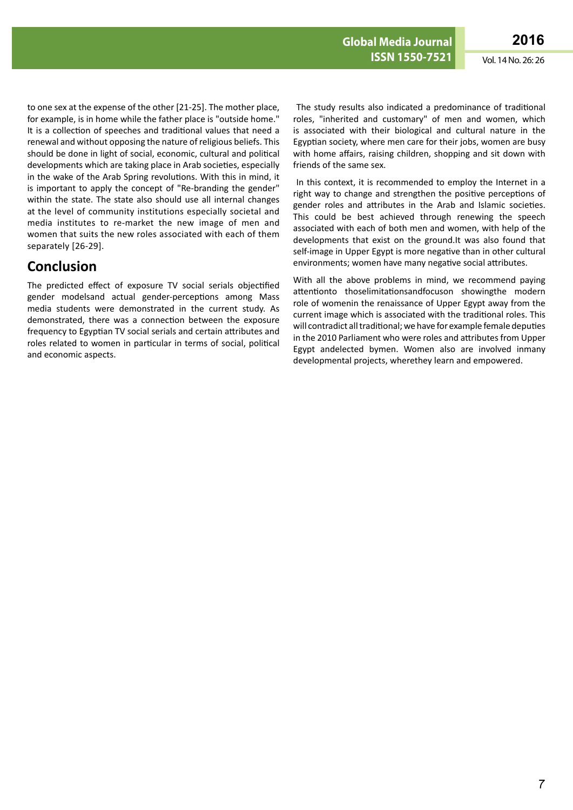to one sex at the expense of the other [21-25]. The mother place, for example, is in home while the father place is "outside home." It is a collection of speeches and traditional values that need a renewal and without opposing the nature of religious beliefs. This should be done in light of social, economic, cultural and political developments which are taking place in Arab societies, especially in the wake of the Arab Spring revolutions. With this in mind, it is important to apply the concept of "Re-branding the gender" within the state. The state also should use all internal changes at the level of community institutions especially societal and media institutes to re-market the new image of men and women that suits the new roles associated with each of them separately [26-29].

### **Conclusion**

The predicted effect of exposure TV social serials objectified gender modelsand actual gender-perceptions among Mass media students were demonstrated in the current study. As demonstrated, there was a connection between the exposure frequency to Egyptian TV social serials and certain attributes and roles related to women in particular in terms of social, political and economic aspects.

 The study results also indicated a predominance of traditional roles, "inherited and customary" of men and women, which is associated with their biological and cultural nature in the Egyptian society, where men care for their jobs, women are busy with home affairs, raising children, shopping and sit down with friends of the same sex.

 In this context, it is recommended to employ the Internet in a right way to change and strengthen the positive perceptions of gender roles and attributes in the Arab and Islamic societies. This could be best achieved through renewing the speech associated with each of both men and women, with help of the developments that exist on the ground.It was also found that self-image in Upper Egypt is more negative than in other cultural environments; women have many negative social attributes.

With all the above problems in mind, we recommend paying attentionto thoselimitationsandfocuson showingthe modern role of womenin the renaissance of Upper Egypt away from the current image which is associated with the traditional roles. This will contradict all traditional; we have for example female deputies in the 2010 Parliament who were roles and attributes from Upper Egypt andelected bymen. Women also are involved inmany developmental projects, wherethey learn and empowered.